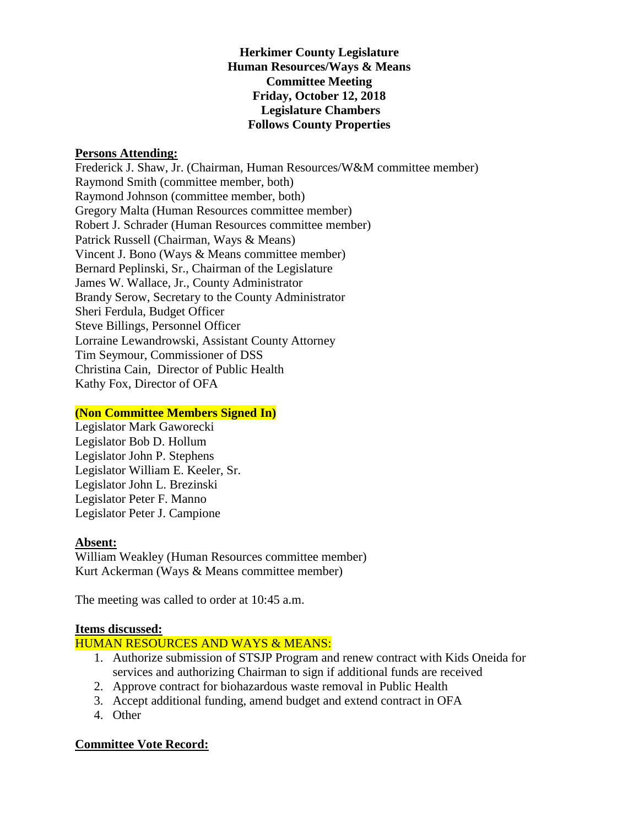**Herkimer County Legislature Human Resources/Ways & Means Committee Meeting Friday, October 12, 2018 Legislature Chambers Follows County Properties** 

#### **Persons Attending:**

Frederick J. Shaw, Jr. (Chairman, Human Resources/W&M committee member) Raymond Smith (committee member, both) Raymond Johnson (committee member, both) Gregory Malta (Human Resources committee member) Robert J. Schrader (Human Resources committee member) Patrick Russell (Chairman, Ways & Means) Vincent J. Bono (Ways & Means committee member) Bernard Peplinski, Sr., Chairman of the Legislature James W. Wallace, Jr., County Administrator Brandy Serow, Secretary to the County Administrator Sheri Ferdula, Budget Officer Steve Billings, Personnel Officer Lorraine Lewandrowski, Assistant County Attorney Tim Seymour, Commissioner of DSS Christina Cain, Director of Public Health Kathy Fox, Director of OFA

### **(Non Committee Members Signed In)**

Legislator Mark Gaworecki Legislator Bob D. Hollum Legislator John P. Stephens Legislator William E. Keeler, Sr. Legislator John L. Brezinski Legislator Peter F. Manno Legislator Peter J. Campione

#### **Absent:**

William Weakley (Human Resources committee member) Kurt Ackerman (Ways & Means committee member)

The meeting was called to order at 10:45 a.m.

## **Items discussed:**

### HUMAN RESOURCES AND WAYS & MEANS:

- 1. Authorize submission of STSJP Program and renew contract with Kids Oneida for services and authorizing Chairman to sign if additional funds are received
- 2. Approve contract for biohazardous waste removal in Public Health
- 3. Accept additional funding, amend budget and extend contract in OFA
- 4. Other

# **Committee Vote Record:**